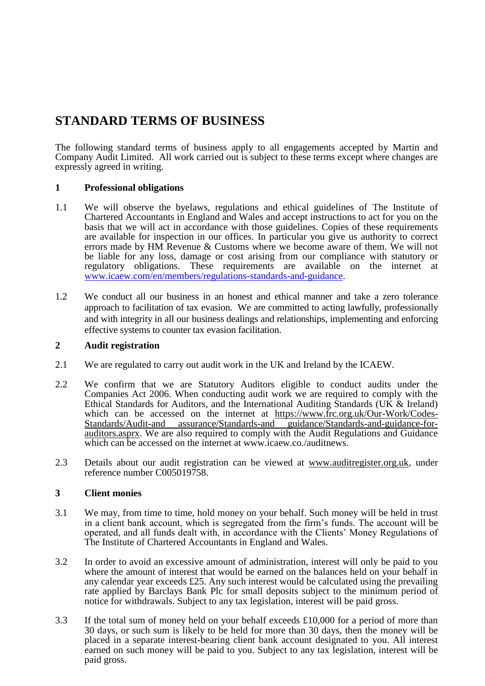# **STANDARD TERMS OF BUSINESS**

The following standard terms of business apply to all engagements accepted by Martin and Company Audit Limited. All work carried out is subject to these terms except where changes are expressly agreed in writing.

# **1 Professional obligations**

- 1.1 We will observe the byelaws, regulations and ethical guidelines of The Institute of Chartered Accountants in England and Wales and accept instructions to act for you on the basis that we will act in accordance with those guidelines. Copies of these requirements are available for inspection in our offices. In particular you give us authority to correct errors made by HM Revenue & Customs where we become aware of them. We will not be liable for any loss, damage or cost arising from our compliance with statutory or regulatory obligations. These requirements are available on the internet at [www.icaew.com/en/members/regulations-standards-and-guidance.](http://www.icaew.com/en/members/regulations-standards-and-guidance)
- 1.2 We conduct all our business in an honest and ethical manner and take a zero tolerance approach to facilitation of tax evasion. We are committed to acting lawfully, professionally and with integrity in all our business dealings and relationships, implementing and enforcing effective systems to counter tax evasion facilitation.

# **2 Audit registration**

- 2.1 We are regulated to carry out audit work in the UK and Ireland by the ICAEW.
- 2.2 We confirm that we are Statutory Auditors eligible to conduct audits under the Companies Act 2006. When conducting audit work we are required to comply with the Ethical Standards for Auditors, and the International Auditing Standards (UK & Ireland) which can be accessed on the internet at https://www.frc.org.uk/Our-Work/Codes-Standards/Audit-and assurance/Standards-and guidance/Standards-and-guidance-forauditors.asprx. We are also required to comply with the Audit Regulations and Guidance which can be accessed on the internet at www.icaew.co./auditnews.
- 2.3 Details about our audit registration can be viewed at www.auditregister.org.uk, under reference number C005019758.

# **3 Client monies**

- 3.1 We may, from time to time, hold money on your behalf. Such money will be held in trust in a client bank account, which is segregated from the firm's funds. The account will be operated, and all funds dealt with, in accordance with the Clients' Money Regulations of The Institute of Chartered Accountants in England and Wales.
- 3.2 In order to avoid an excessive amount of administration, interest will only be paid to you where the amount of interest that would be earned on the balances held on your behalf in any calendar year exceeds £25. Any such interest would be calculated using the prevailing rate applied by Barclays Bank Plc for small deposits subject to the minimum period of notice for withdrawals. Subject to any tax legislation, interest will be paid gross.
- 3.3 If the total sum of money held on your behalf exceeds £10,000 for a period of more than 30 days, or such sum is likely to be held for more than 30 days, then the money will be placed in a separate interest-bearing client bank account designated to you. All interest earned on such money will be paid to you. Subject to any tax legislation, interest will be paid gross.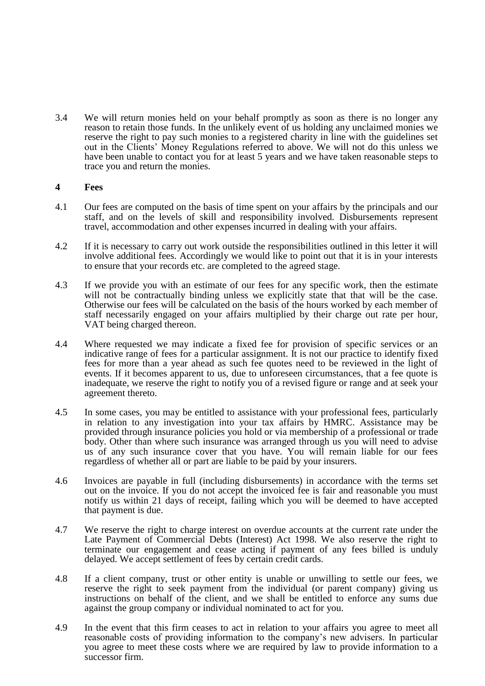3.4 We will return monies held on your behalf promptly as soon as there is no longer any reason to retain those funds. In the unlikely event of us holding any unclaimed monies we reserve the right to pay such monies to a registered charity in line with the guidelines set out in the Clients' Money Regulations referred to above. We will not do this unless we have been unable to contact you for at least 5 years and we have taken reasonable steps to trace you and return the monies.

#### **4 Fees**

- 4.1 Our fees are computed on the basis of time spent on your affairs by the principals and our staff, and on the levels of skill and responsibility involved. Disbursements represent travel, accommodation and other expenses incurred in dealing with your affairs.
- 4.2 If it is necessary to carry out work outside the responsibilities outlined in this letter it will involve additional fees. Accordingly we would like to point out that it is in your interests to ensure that your records etc. are completed to the agreed stage.
- 4.3 If we provide you with an estimate of our fees for any specific work, then the estimate will not be contractually binding unless we explicitly state that that will be the case. Otherwise our fees will be calculated on the basis of the hours worked by each member of staff necessarily engaged on your affairs multiplied by their charge out rate per hour, VAT being charged thereon.
- 4.4 Where requested we may indicate a fixed fee for provision of specific services or an indicative range of fees for a particular assignment. It is not our practice to identify fixed fees for more than a year ahead as such fee quotes need to be reviewed in the light of events. If it becomes apparent to us, due to unforeseen circumstances, that a fee quote is inadequate, we reserve the right to notify you of a revised figure or range and at seek your agreement thereto.
- 4.5 In some cases, you may be entitled to assistance with your professional fees, particularly in relation to any investigation into your tax affairs by HMRC. Assistance may be provided through insurance policies you hold or via membership of a professional or trade body. Other than where such insurance was arranged through us you will need to advise us of any such insurance cover that you have. You will remain liable for our fees regardless of whether all or part are liable to be paid by your insurers.
- 4.6 Invoices are payable in full (including disbursements) in accordance with the terms set out on the invoice. If you do not accept the invoiced fee is fair and reasonable you must notify us within 21 days of receipt, failing which you will be deemed to have accepted that payment is due.
- 4.7 We reserve the right to charge interest on overdue accounts at the current rate under the Late Payment of Commercial Debts (Interest) Act 1998. We also reserve the right to terminate our engagement and cease acting if payment of any fees billed is unduly delayed. We accept settlement of fees by certain credit cards.
- 4.8 If a client company, trust or other entity is unable or unwilling to settle our fees, we reserve the right to seek payment from the individual (or parent company) giving us instructions on behalf of the client, and we shall be entitled to enforce any sums due against the group company or individual nominated to act for you.
- 4.9 In the event that this firm ceases to act in relation to your affairs you agree to meet all reasonable costs of providing information to the company's new advisers. In particular you agree to meet these costs where we are required by law to provide information to a successor firm.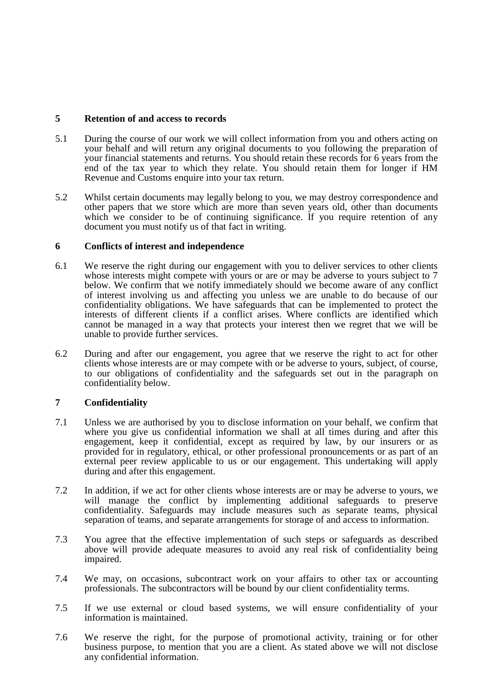# **5 Retention of and access to records**

- 5.1 During the course of our work we will collect information from you and others acting on your behalf and will return any original documents to you following the preparation of your financial statements and returns. You should retain these records for 6 years from the end of the tax year to which they relate. You should retain them for longer if HM Revenue and Customs enquire into your tax return.
- 5.2 Whilst certain documents may legally belong to you, we may destroy correspondence and other papers that we store which are more than seven years old, other than documents which we consider to be of continuing significance. If you require retention of any document you must notify us of that fact in writing.

# **6 Conflicts of interest and independence**

- 6.1 We reserve the right during our engagement with you to deliver services to other clients whose interests might compete with yours or are or may be adverse to yours subject to 7 below. We confirm that we notify immediately should we become aware of any conflict of interest involving us and affecting you unless we are unable to do because of our confidentiality obligations. We have safeguards that can be implemented to protect the interests of different clients if a conflict arises. Where conflicts are identified which cannot be managed in a way that protects your interest then we regret that we will be unable to provide further services.
- 6.2 During and after our engagement, you agree that we reserve the right to act for other clients whose interests are or may compete with or be adverse to yours, subject, of course, to our obligations of confidentiality and the safeguards set out in the paragraph on confidentiality below.

# **7 Confidentiality**

- 7.1 Unless we are authorised by you to disclose information on your behalf, we confirm that where you give us confidential information we shall at all times during and after this engagement, keep it confidential, except as required by law, by our insurers or as provided for in regulatory, ethical, or other professional pronouncements or as part of an external peer review applicable to us or our engagement. This undertaking will apply during and after this engagement.
- 7.2 In addition, if we act for other clients whose interests are or may be adverse to yours, we will manage the conflict by implementing additional safeguards to preserve confidentiality. Safeguards may include measures such as separate teams, physical separation of teams, and separate arrangements for storage of and access to information.
- 7.3 You agree that the effective implementation of such steps or safeguards as described above will provide adequate measures to avoid any real risk of confidentiality being impaired.
- 7.4 We may, on occasions, subcontract work on your affairs to other tax or accounting professionals. The subcontractors will be bound by our client confidentiality terms.
- 7.5 If we use external or cloud based systems, we will ensure confidentiality of your information is maintained.
- 7.6 We reserve the right, for the purpose of promotional activity, training or for other business purpose, to mention that you are a client. As stated above we will not disclose any confidential information.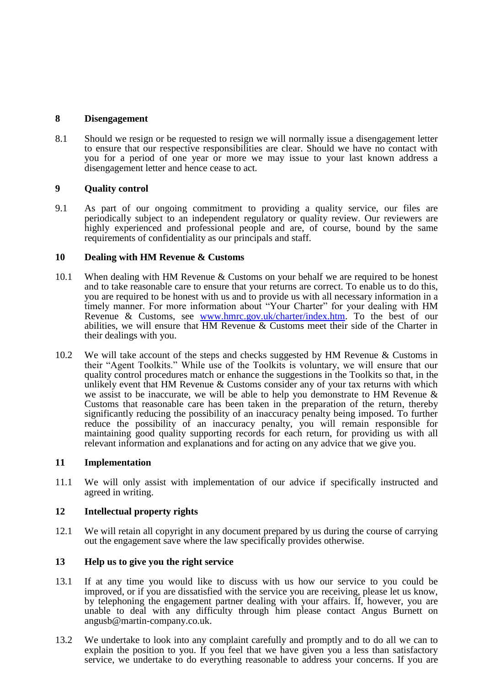# **8 Disengagement**

8.1 Should we resign or be requested to resign we will normally issue a disengagement letter to ensure that our respective responsibilities are clear. Should we have no contact with you for a period of one year or more we may issue to your last known address a disengagement letter and hence cease to act.

# **9 Quality control**

9.1 As part of our ongoing commitment to providing a quality service, our files are periodically subject to an independent regulatory or quality review. Our reviewers are highly experienced and professional people and are, of course, bound by the same requirements of confidentiality as our principals and staff.

# **10 Dealing with HM Revenue & Customs**

- 10.1 When dealing with HM Revenue & Customs on your behalf we are required to be honest and to take reasonable care to ensure that your returns are correct. To enable us to do this, you are required to be honest with us and to provide us with all necessary information in a timely manner. For more information about "Your Charter" for your dealing with HM Revenue & Customs, see [www.hmrc.gov.uk/charter/index.htm.](http://www.hmrc.gov.uk/charter/index.htm) To the best of our abilities, we will ensure that HM Revenue & Customs meet their side of the Charter in their dealings with you.
- 10.2 We will take account of the steps and checks suggested by HM Revenue & Customs in their "Agent Toolkits." While use of the Toolkits is voluntary, we will ensure that our quality control procedures match or enhance the suggestions in the Toolkits so that, in the unlikely event that HM Revenue & Customs consider any of your tax returns with which we assist to be inaccurate, we will be able to help you demonstrate to HM Revenue & Customs that reasonable care has been taken in the preparation of the return, thereby significantly reducing the possibility of an inaccuracy penalty being imposed. To further reduce the possibility of an inaccuracy penalty, you will remain responsible for maintaining good quality supporting records for each return, for providing us with all relevant information and explanations and for acting on any advice that we give you.

# **11 Implementation**

11.1 We will only assist with implementation of our advice if specifically instructed and agreed in writing.

# **12 Intellectual property rights**

12.1 We will retain all copyright in any document prepared by us during the course of carrying out the engagement save where the law specifically provides otherwise.

# **13 Help us to give you the right service**

- 13.1 If at any time you would like to discuss with us how our service to you could be improved, or if you are dissatisfied with the service you are receiving, please let us know, by telephoning the engagement partner dealing with your affairs. If, however, you are unable to deal with any difficulty through him please contact Angus Burnett on angusb@martin-company.co.uk.
- 13.2 We undertake to look into any complaint carefully and promptly and to do all we can to explain the position to you. If you feel that we have given you a less than satisfactory service, we undertake to do everything reasonable to address your concerns. If you are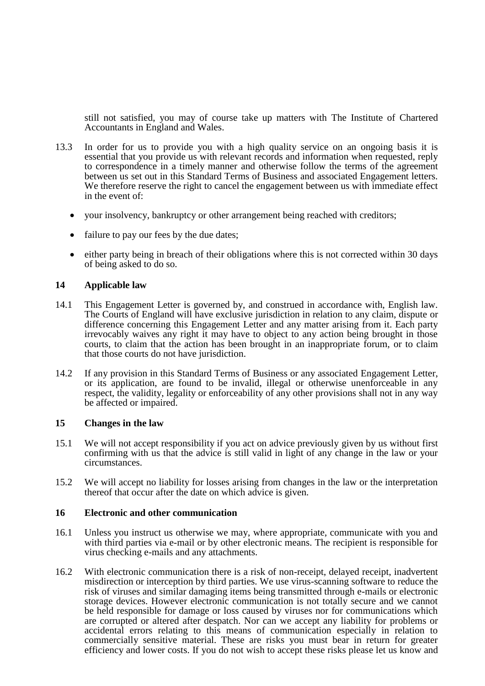still not satisfied, you may of course take up matters with The Institute of Chartered Accountants in England and Wales.

- 13.3 In order for us to provide you with a high quality service on an ongoing basis it is essential that you provide us with relevant records and information when requested, reply to correspondence in a timely manner and otherwise follow the terms of the agreement between us set out in this Standard Terms of Business and associated Engagement letters. We therefore reserve the right to cancel the engagement between us with immediate effect in the event of:
	- your insolvency, bankruptcy or other arrangement being reached with creditors;
	- failure to pay our fees by the due dates;
	- either party being in breach of their obligations where this is not corrected within 30 days of being asked to do so.

#### **14 Applicable law**

- 14.1 This Engagement Letter is governed by, and construed in accordance with, English law. The Courts of England will have exclusive jurisdiction in relation to any claim, dispute or difference concerning this Engagement Letter and any matter arising from it. Each party irrevocably waives any right it may have to object to any action being brought in those courts, to claim that the action has been brought in an inappropriate forum, or to claim that those courts do not have jurisdiction.
- 14.2 If any provision in this Standard Terms of Business or any associated Engagement Letter, or its application, are found to be invalid, illegal or otherwise unenforceable in any respect, the validity, legality or enforceability of any other provisions shall not in any way be affected or impaired.

#### **15 Changes in the law**

- 15.1 We will not accept responsibility if you act on advice previously given by us without first confirming with us that the advice is still valid in light of any change in the law or your circumstances.
- 15.2 We will accept no liability for losses arising from changes in the law or the interpretation thereof that occur after the date on which advice is given.

#### **16 Electronic and other communication**

- 16.1 Unless you instruct us otherwise we may, where appropriate, communicate with you and with third parties via e-mail or by other electronic means. The recipient is responsible for virus checking e-mails and any attachments.
- 16.2 With electronic communication there is a risk of non-receipt, delayed receipt, inadvertent misdirection or interception by third parties. We use virus-scanning software to reduce the risk of viruses and similar damaging items being transmitted through e-mails or electronic storage devices. However electronic communication is not totally secure and we cannot be held responsible for damage or loss caused by viruses nor for communications which are corrupted or altered after despatch. Nor can we accept any liability for problems or accidental errors relating to this means of communication especially in relation to commercially sensitive material. These are risks you must bear in return for greater efficiency and lower costs. If you do not wish to accept these risks please let us know and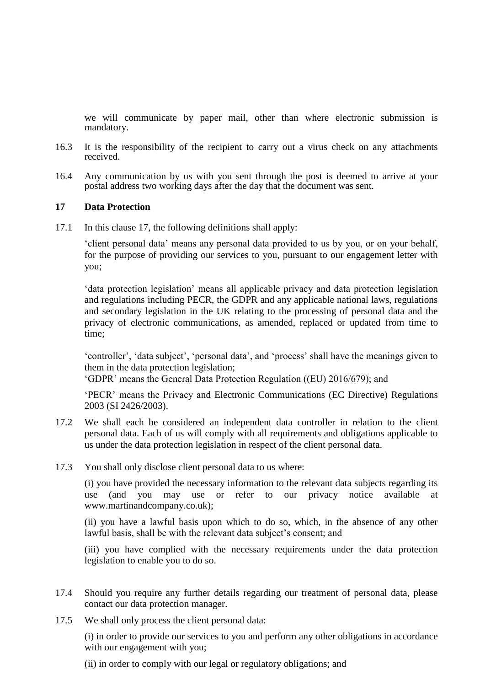we will communicate by paper mail, other than where electronic submission is mandatory.

- 16.3 It is the responsibility of the recipient to carry out a virus check on any attachments received.
- 16.4 Any communication by us with you sent through the post is deemed to arrive at your postal address two working days after the day that the document was sent.

#### **17 Data Protection**

17.1 In this clause 17, the following definitions shall apply:

'client personal data' means any personal data provided to us by you, or on your behalf, for the purpose of providing our services to you, pursuant to our engagement letter with you;

'data protection legislation' means all applicable privacy and data protection legislation and regulations including PECR, the GDPR and any applicable national laws, regulations and secondary legislation in the UK relating to the processing of personal data and the privacy of electronic communications, as amended, replaced or updated from time to time;

'controller', 'data subject', 'personal data', and 'process' shall have the meanings given to them in the data protection legislation;

'GDPR' means the General Data Protection Regulation ((EU) 2016/679); and

'PECR' means the Privacy and Electronic Communications (EC Directive) Regulations 2003 (SI 2426/2003).

- 17.2 We shall each be considered an independent data controller in relation to the client personal data. Each of us will comply with all requirements and obligations applicable to us under the data protection legislation in respect of the client personal data.
- 17.3 You shall only disclose client personal data to us where:

(i) you have provided the necessary information to the relevant data subjects regarding its use (and you may use or refer to our privacy notice available at www.martinandcompany.co.uk);

(ii) you have a lawful basis upon which to do so, which, in the absence of any other lawful basis, shall be with the relevant data subject's consent; and

(iii) you have complied with the necessary requirements under the data protection legislation to enable you to do so.

- 17.4 Should you require any further details regarding our treatment of personal data, please contact our data protection manager.
- 17.5 We shall only process the client personal data:

(i) in order to provide our services to you and perform any other obligations in accordance with our engagement with you:

(ii) in order to comply with our legal or regulatory obligations; and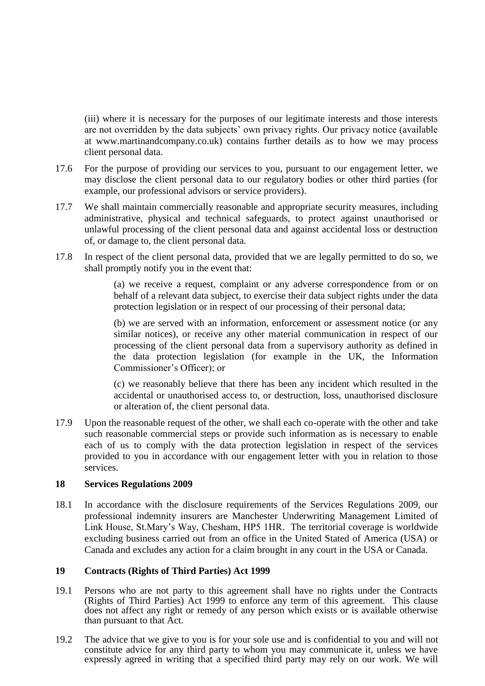(iii) where it is necessary for the purposes of our legitimate interests and those interests are not overridden by the data subjects' own privacy rights. Our privacy notice (available at www.martinandcompany.co.uk) contains further details as to how we may process client personal data.

- 17.6 For the purpose of providing our services to you, pursuant to our engagement letter, we may disclose the client personal data to our regulatory bodies or other third parties (for example, our professional advisors or service providers).
- 17.7 We shall maintain commercially reasonable and appropriate security measures, including administrative, physical and technical safeguards, to protect against unauthorised or unlawful processing of the client personal data and against accidental loss or destruction of, or damage to, the client personal data.
- 17.8 In respect of the client personal data, provided that we are legally permitted to do so, we shall promptly notify you in the event that:

(a) we receive a request, complaint or any adverse correspondence from or on behalf of a relevant data subject, to exercise their data subject rights under the data protection legislation or in respect of our processing of their personal data;

(b) we are served with an information, enforcement or assessment notice (or any similar notices), or receive any other material communication in respect of our processing of the client personal data from a supervisory authority as defined in the data protection legislation (for example in the UK, the Information Commissioner's Officer); or

(c) we reasonably believe that there has been any incident which resulted in the accidental or unauthorised access to, or destruction, loss, unauthorised disclosure or alteration of, the client personal data.

17.9 Upon the reasonable request of the other, we shall each co-operate with the other and take such reasonable commercial steps or provide such information as is necessary to enable each of us to comply with the data protection legislation in respect of the services provided to you in accordance with our engagement letter with you in relation to those services.

# **18 Services Regulations 2009**

18.1 In accordance with the disclosure requirements of the Services Regulations 2009, our professional indemnity insurers are Manchester Underwriting Management Limited of Link House, St.Mary's Way, Chesham, HP5 1HR. The territorial coverage is worldwide excluding business carried out from an office in the United Stated of America (USA) or Canada and excludes any action for a claim brought in any court in the USA or Canada.

# **19 Contracts (Rights of Third Parties) Act 1999**

- 19.1 Persons who are not party to this agreement shall have no rights under the Contracts (Rights of Third Parties) Act 1999 to enforce any term of this agreement. This clause does not affect any right or remedy of any person which exists or is available otherwise than pursuant to that Act.
- 19.2 The advice that we give to you is for your sole use and is confidential to you and will not constitute advice for any third party to whom you may communicate it, unless we have expressly agreed in writing that a specified third party may rely on our work. We will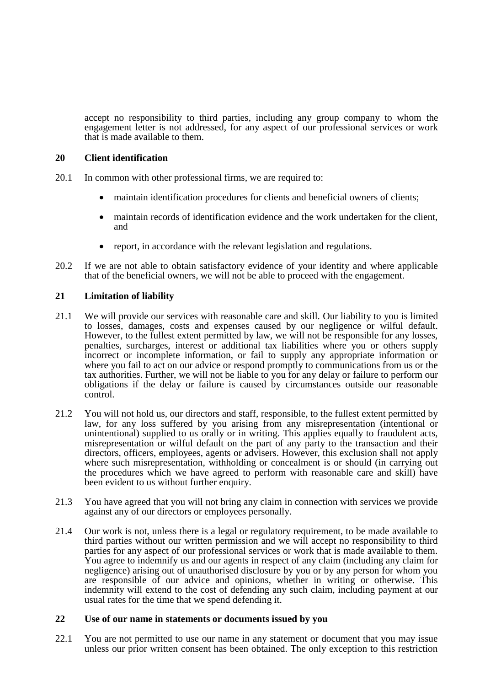accept no responsibility to third parties, including any group company to whom the engagement letter is not addressed, for any aspect of our professional services or work that is made available to them.

# **20 Client identification**

- 20.1 In common with other professional firms, we are required to:
	- maintain identification procedures for clients and beneficial owners of clients;
	- maintain records of identification evidence and the work undertaken for the client, and
	- report, in accordance with the relevant legislation and regulations.
- 20.2 If we are not able to obtain satisfactory evidence of your identity and where applicable that of the beneficial owners, we will not be able to proceed with the engagement.

# **21 Limitation of liability**

- 21.1 We will provide our services with reasonable care and skill. Our liability to you is limited to losses, damages, costs and expenses caused by our negligence or wilful default. However, to the fullest extent permitted by law, we will not be responsible for any losses, penalties, surcharges, interest or additional tax liabilities where you or others supply incorrect or incomplete information, or fail to supply any appropriate information or where you fail to act on our advice or respond promptly to communications from us or the tax authorities. Further, we will not be liable to you for any delay or failure to perform our obligations if the delay or failure is caused by circumstances outside our reasonable control.
- 21.2 You will not hold us, our directors and staff, responsible, to the fullest extent permitted by law, for any loss suffered by you arising from any misrepresentation (intentional or unintentional) supplied to us orally or in writing. This applies equally to fraudulent acts, misrepresentation or wilful default on the part of any party to the transaction and their directors, officers, employees, agents or advisers. However, this exclusion shall not apply where such misrepresentation, withholding or concealment is or should (in carrying out the procedures which we have agreed to perform with reasonable care and skill) have been evident to us without further enquiry.
- 21.3 You have agreed that you will not bring any claim in connection with services we provide against any of our directors or employees personally.
- 21.4 Our work is not, unless there is a legal or regulatory requirement, to be made available to third parties without our written permission and we will accept no responsibility to third parties for any aspect of our professional services or work that is made available to them. You agree to indemnify us and our agents in respect of any claim (including any claim for negligence) arising out of unauthorised disclosure by you or by any person for whom you are responsible of our advice and opinions, whether in writing or otherwise. This indemnity will extend to the cost of defending any such claim, including payment at our usual rates for the time that we spend defending it.

# **22 Use of our name in statements or documents issued by you**

22.1 You are not permitted to use our name in any statement or document that you may issue unless our prior written consent has been obtained. The only exception to this restriction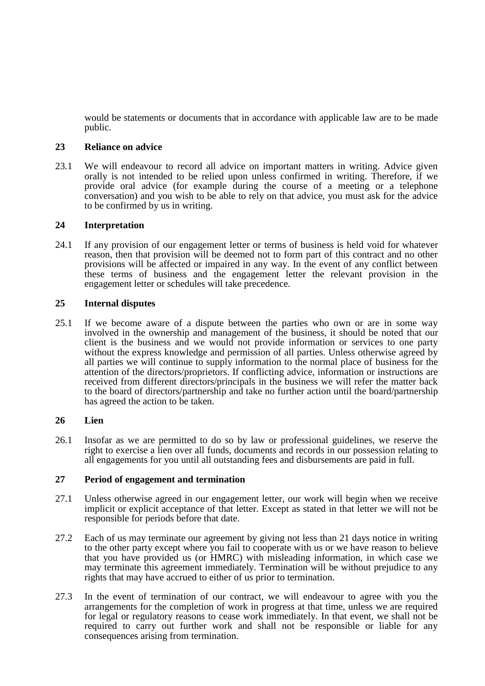would be statements or documents that in accordance with applicable law are to be made public.

#### **23 Reliance on advice**

23.1 We will endeavour to record all advice on important matters in writing. Advice given orally is not intended to be relied upon unless confirmed in writing. Therefore, if we provide oral advice (for example during the course of a meeting or a telephone conversation) and you wish to be able to rely on that advice, you must ask for the advice to be confirmed by us in writing.

#### **24 Interpretation**

24.1 If any provision of our engagement letter or terms of business is held void for whatever reason, then that provision will be deemed not to form part of this contract and no other provisions will be affected or impaired in any way. In the event of any conflict between these terms of business and the engagement letter the relevant provision in the engagement letter or schedules will take precedence.

#### **25 Internal disputes**

25.1 If we become aware of a dispute between the parties who own or are in some way involved in the ownership and management of the business, it should be noted that our client is the business and we would not provide information or services to one party without the express knowledge and permission of all parties. Unless otherwise agreed by all parties we will continue to supply information to the normal place of business for the attention of the directors/proprietors. If conflicting advice, information or instructions are received from different directors/principals in the business we will refer the matter back to the board of directors/partnership and take no further action until the board/partnership has agreed the action to be taken.

# **26 Lien**

26.1 Insofar as we are permitted to do so by law or professional guidelines, we reserve the right to exercise a lien over all funds, documents and records in our possession relating to all engagements for you until all outstanding fees and disbursements are paid in full.

#### **27 Period of engagement and termination**

- 27.1 Unless otherwise agreed in our engagement letter, our work will begin when we receive implicit or explicit acceptance of that letter. Except as stated in that letter we will not be responsible for periods before that date.
- 27.2 Each of us may terminate our agreement by giving not less than 21 days notice in writing to the other party except where you fail to cooperate with us or we have reason to believe that you have provided us (or HMRC) with misleading information, in which case we may terminate this agreement immediately. Termination will be without prejudice to any rights that may have accrued to either of us prior to termination.
- 27.3 In the event of termination of our contract, we will endeavour to agree with you the arrangements for the completion of work in progress at that time, unless we are required for legal or regulatory reasons to cease work immediately. In that event, we shall not be required to carry out further work and shall not be responsible or liable for any consequences arising from termination.